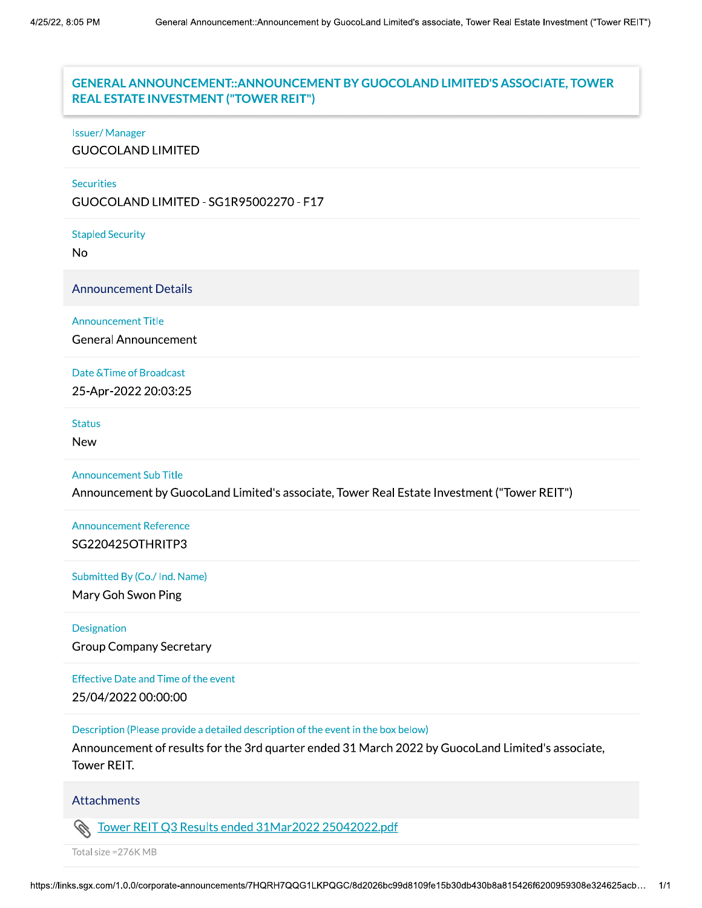# REAL ESTATE INVESTMENT ("TOWER REIT") GENERAL ANNOUNCEMENT:: ANNOUNCEMENT BY GUOCOLAND LIMITED'S ASSOCIATE, TOWER

#### Issuer/Manager

**GUOCOLAND LIMITED** 

#### Securities

GUOCOLAND LIMITED - SG1R95002270 - F17

Stapled Security

No<br>Announcement Details

Announcement Title

General Announcement

Date & Time of Broadcast

25-Apr-2022 20:03:25

Status

**New** 

#### Announcement Sub Title

Announcement by GuocoLand Limited's associate, Tower Real Estate Investment ("Tower REIT")

Announcement Reference SG220425OTHRITP3

Submitted By (Co./ Ind. Name)

Mary Goh Swon Ping

#### Designation

Group Company Secretary

Effective Date and Time of the event

25/04/2022 00:00:00

Description (Please provide a detailed description of the event in the box below)

Announcement of results for the 3rd quarter ended 31 March 2022 by GuocoLand Limited's associate, Tower REIT.

#### Attachments

Attachments<br>
Solution Tower REIT Q3 Results ended 31Mar2022 2504202<br>
Total size =276K MB<br>
https://links.sgx.com/1.0.0/corporate-announcements/7HQRH7QQG1LKPQGC/8d20 Tower REIT Q3 Results ended 31Mar2022 25042022.pdf

Total size = 276K MB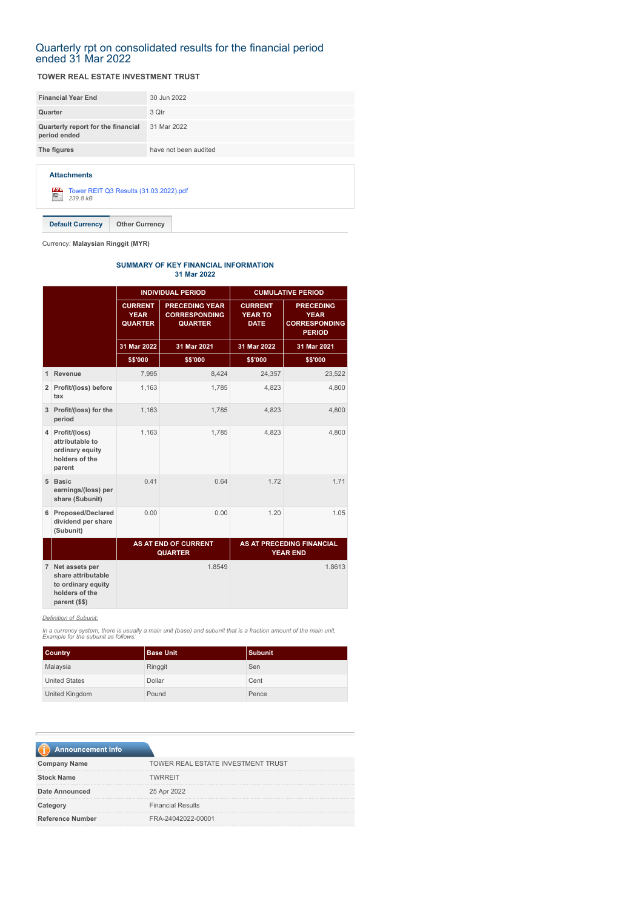#### Quarterly rpt on consolidated results for the financial period ended 31 Mar 2022

#### **TOWER REAL ESTATE INVESTMENT TRUST**

| <b>Financial Year End</b>                          | 30 Jun 2022           |
|----------------------------------------------------|-----------------------|
| Quarter                                            | 3 Qtr                 |
| Quarterly report for the financial<br>period ended | 31 Mar 2022           |
| The figures                                        | have not been audited |
|                                                    |                       |

**Attachments**

[Tower REIT Q3 Results \(31.03.2022\).pdf](https://disclosure.bursamalaysia.com/FileAccess/apbursaweb/download?id=218337&name=EA_FR_ATTACHMENTS) *239.8 kB*

**Default Currency Other Currency**

Currency: **Malaysian Ringgit (MYR)**

#### **SUMMARY OF KEY FINANCIAL INFORMATION 31 Mar 2022**

|                |                                                                                   | <b>INDIVIDUAL PERIOD</b>                        |                                                                 | <b>CUMULATIVE PERIOD</b>                        |                                                                          |
|----------------|-----------------------------------------------------------------------------------|-------------------------------------------------|-----------------------------------------------------------------|-------------------------------------------------|--------------------------------------------------------------------------|
|                |                                                                                   | <b>CURRENT</b><br><b>YEAR</b><br><b>QUARTER</b> | <b>PRECEDING YEAR</b><br><b>CORRESPONDING</b><br><b>QUARTER</b> | <b>CURRENT</b><br><b>YEAR TO</b><br><b>DATE</b> | <b>PRECEDING</b><br><b>YEAR</b><br><b>CORRESPONDING</b><br><b>PERIOD</b> |
|                |                                                                                   | 31 Mar 2022                                     | 31 Mar 2021                                                     | 31 Mar 2022                                     | 31 Mar 2021                                                              |
|                |                                                                                   | \$\$'000                                        | \$\$'000                                                        | \$\$'000                                        | \$\$'000                                                                 |
| $\mathbf{1}$   | Revenue                                                                           | 7,995                                           | 8,424                                                           | 24,357                                          | 23,522                                                                   |
|                | 2 Profit/(loss) before<br>tax                                                     | 1.163                                           | 1.785                                                           | 4,823                                           | 4,800                                                                    |
|                | 3 Profit/(loss) for the<br>period                                                 | 1.163                                           | 1.785                                                           | 4.823                                           | 4,800                                                                    |
|                | 4 Profit/(loss)<br>attributable to<br>ordinary equity<br>holders of the<br>parent | 1,163                                           | 1,785                                                           | 4,823                                           | 4,800                                                                    |
|                | 5 Basic<br>earnings/(loss) per<br>share (Subunit)                                 | 0.41                                            | 0.64                                                            | 1.72                                            | 1.71                                                                     |
|                | 6 Proposed/Declared<br>dividend per share<br>(Subunit)                            | 0.00                                            | 0.00                                                            | 1.20                                            | 1.05                                                                     |
|                |                                                                                   | <b>AS AT END OF CURRENT</b><br><b>QUARTER</b>   |                                                                 |                                                 | <b>AS AT PRECEDING FINANCIAL</b><br><b>YEAR END</b>                      |
| 7 <sup>1</sup> | Net assets per<br>share attributable                                              |                                                 | 1.8549                                                          |                                                 | 1.8613                                                                   |

**parent (\$\$)** *Definition of Subunit:*

**to ordinary equity holders of the**

*In a currency system, there is usually a main unit (base) and subunit that is a fraction amount of the main unit. Example for the subunit as follows:*

| <b>Country</b>       | <b>Base Unit</b> | l Subunit |
|----------------------|------------------|-----------|
| Malaysia             | Ringgit          | Sen       |
| <b>United States</b> | Dollar           | Cent      |
| United Kingdom       | Pound            | Pence     |

| <b>Announcement Info</b> |                                           |
|--------------------------|-------------------------------------------|
| <b>Company Name</b>      | <b>TOWER REAL ESTATE INVESTMENT TRUST</b> |
| <b>Stock Name</b>        | <b>TWRREIT</b>                            |
| <b>Date Announced</b>    | 25 Apr 2022                               |
| Category                 | <b>Financial Results</b>                  |
| <b>Reference Number</b>  | FRA-24042022-00001                        |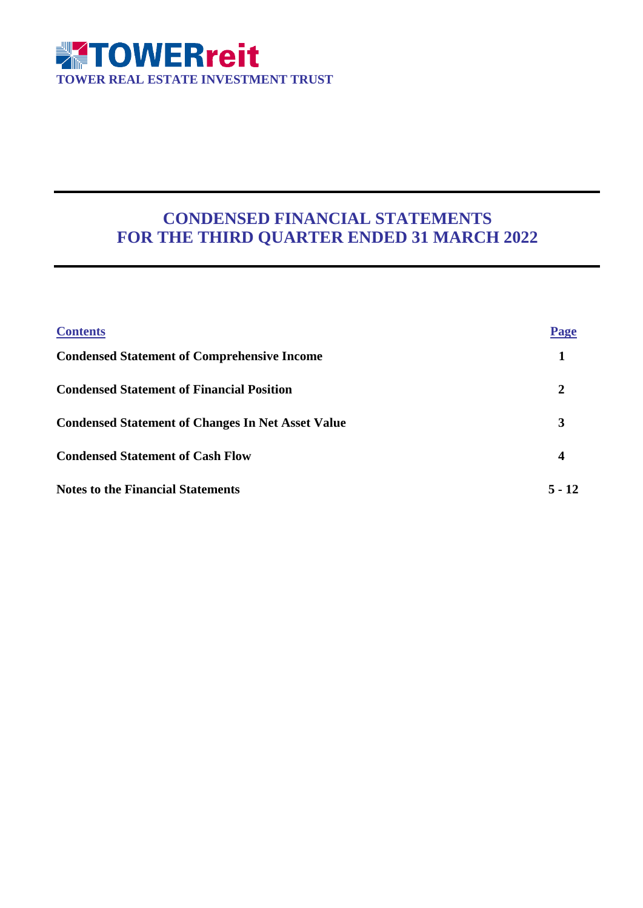

# **CONDENSED FINANCIAL STATEMENTS FOR THE THIRD QUARTER ENDED 31 MARCH 2022**

| <b>Contents</b>                                          | Page             |
|----------------------------------------------------------|------------------|
| <b>Condensed Statement of Comprehensive Income</b>       |                  |
| <b>Condensed Statement of Financial Position</b>         | 2                |
| <b>Condensed Statement of Changes In Net Asset Value</b> | 3                |
| <b>Condensed Statement of Cash Flow</b>                  | $\boldsymbol{4}$ |
| <b>Notes to the Financial Statements</b>                 | $5 - 12$         |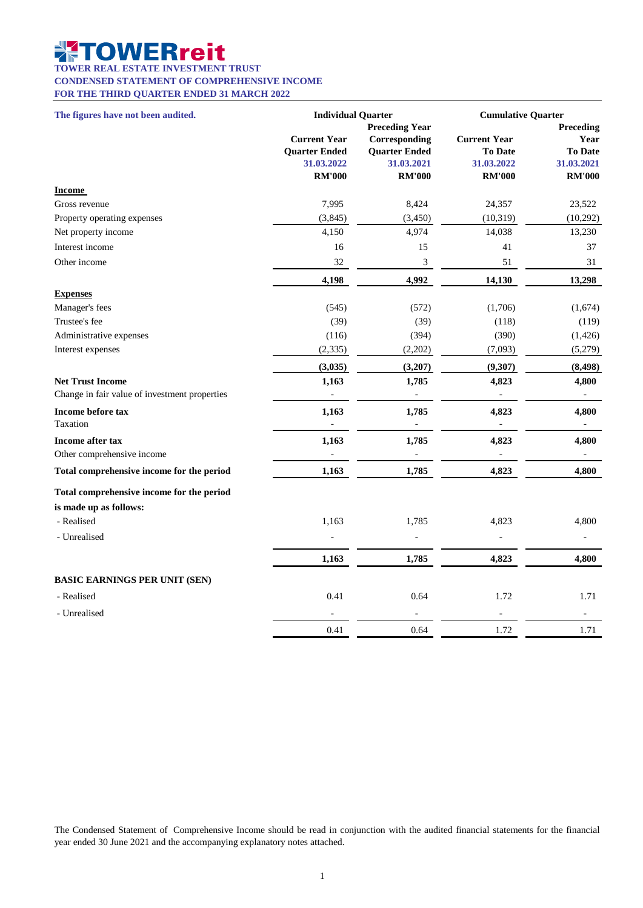#### U Z **OWERreit**

**TOWER REAL ESTATE INVESTMENT TRUST**

**CONDENSED STATEMENT OF COMPREHENSIVE INCOME**

**FOR THE THIRD QUARTER ENDED 31 MARCH 2022**

| The figures have not been audited.                                       | <b>Individual Quarter</b>                                                  |                                                                                               | <b>Cumulative Quarter</b>                                            |                                                                    |
|--------------------------------------------------------------------------|----------------------------------------------------------------------------|-----------------------------------------------------------------------------------------------|----------------------------------------------------------------------|--------------------------------------------------------------------|
|                                                                          | <b>Current Year</b><br><b>Quarter Ended</b><br>31.03.2022<br><b>RM'000</b> | <b>Preceding Year</b><br>Corresponding<br><b>Quarter Ended</b><br>31.03.2021<br><b>RM'000</b> | <b>Current Year</b><br><b>To Date</b><br>31.03.2022<br><b>RM'000</b> | Preceding<br>Year<br><b>To Date</b><br>31.03.2021<br><b>RM'000</b> |
| <b>Income</b>                                                            |                                                                            |                                                                                               |                                                                      |                                                                    |
| Gross revenue                                                            | 7,995                                                                      | 8,424                                                                                         | 24,357                                                               | 23,522                                                             |
| Property operating expenses                                              | (3,845)                                                                    | (3,450)                                                                                       | (10, 319)                                                            | (10, 292)                                                          |
| Net property income                                                      | 4,150                                                                      | 4,974                                                                                         | 14,038                                                               | 13,230                                                             |
| Interest income                                                          | 16                                                                         | 15                                                                                            | 41                                                                   | 37                                                                 |
| Other income                                                             | 32                                                                         | $\ensuremath{\mathfrak{Z}}$                                                                   | 51                                                                   | 31                                                                 |
|                                                                          | 4,198                                                                      | 4,992                                                                                         | 14,130                                                               | 13,298                                                             |
| <b>Expenses</b>                                                          |                                                                            |                                                                                               |                                                                      |                                                                    |
| Manager's fees                                                           | (545)                                                                      | (572)                                                                                         | (1,706)                                                              | (1,674)                                                            |
| Trustee's fee                                                            | (39)                                                                       | (39)                                                                                          | (118)                                                                | (119)                                                              |
| Administrative expenses                                                  | (116)                                                                      | (394)                                                                                         | (390)                                                                | (1,426)                                                            |
| Interest expenses                                                        | (2, 335)                                                                   | (2,202)                                                                                       | (7,093)                                                              | (5,279)                                                            |
|                                                                          | (3,035)                                                                    | (3,207)                                                                                       | (9, 307)                                                             | (8, 498)                                                           |
| <b>Net Trust Income</b><br>Change in fair value of investment properties | 1,163                                                                      | 1,785<br>$\overline{a}$                                                                       | 4,823                                                                | 4,800<br>$\overline{\phantom{m}}$                                  |
| Income before tax<br>Taxation                                            | 1,163<br>÷,                                                                | 1,785<br>$\blacksquare$                                                                       | 4,823<br>$\overline{\phantom{a}}$                                    | 4,800<br>$\overline{\phantom{a}}$                                  |
| Income after tax                                                         | 1,163                                                                      | 1,785                                                                                         | 4,823                                                                | 4,800                                                              |
| Other comprehensive income                                               |                                                                            |                                                                                               |                                                                      | $\overline{\phantom{0}}$                                           |
| Total comprehensive income for the period                                | 1,163                                                                      | 1,785                                                                                         | 4,823                                                                | 4,800                                                              |
| Total comprehensive income for the period                                |                                                                            |                                                                                               |                                                                      |                                                                    |
| is made up as follows:                                                   |                                                                            |                                                                                               |                                                                      |                                                                    |
| - Realised                                                               | 1,163                                                                      | 1,785                                                                                         | 4,823                                                                | 4,800                                                              |
| - Unrealised                                                             |                                                                            | ÷,                                                                                            |                                                                      |                                                                    |
|                                                                          | 1,163                                                                      | 1,785                                                                                         | 4,823                                                                | 4,800                                                              |
| <b>BASIC EARNINGS PER UNIT (SEN)</b>                                     |                                                                            |                                                                                               |                                                                      |                                                                    |
| - Realised                                                               | 0.41                                                                       | 0.64                                                                                          | 1.72                                                                 | 1.71                                                               |
| - Unrealised                                                             |                                                                            |                                                                                               |                                                                      |                                                                    |
|                                                                          | 0.41                                                                       | 0.64                                                                                          | 1.72                                                                 | 1.71                                                               |

The Condensed Statement of Comprehensive Income should be read in conjunction with the audited financial statements for the financial year ended 30 June 2021 and the accompanying explanatory notes attached.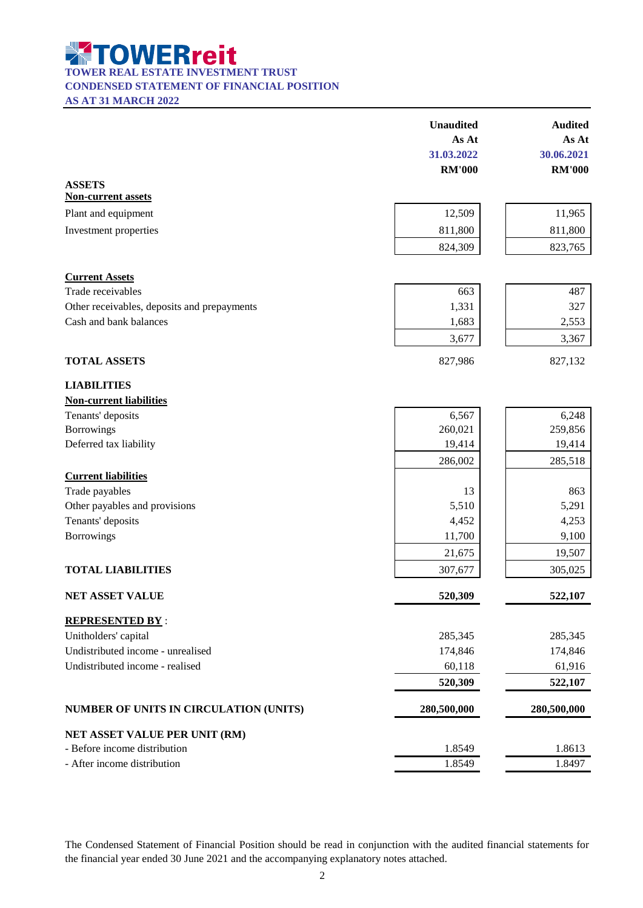**TOWER REAL ESTATE INVESTMENT TRUST** 

**CONDENSED STATEMENT OF FINANCIAL POSITION**

**AS AT 31 MARCH 2022**

|                                               | <b>Unaudited</b> | <b>Audited</b> |
|-----------------------------------------------|------------------|----------------|
|                                               | As At            | As At          |
|                                               | 31.03.2022       | 30.06.2021     |
|                                               | <b>RM'000</b>    | <b>RM'000</b>  |
| <b>ASSETS</b><br><b>Non-current assets</b>    |                  |                |
| Plant and equipment                           | 12,509           | 11,965         |
| Investment properties                         | 811,800          | 811,800        |
|                                               | 824,309          | 823,765        |
| <b>Current Assets</b>                         |                  |                |
| Trade receivables                             | 663              | 487            |
| Other receivables, deposits and prepayments   | 1,331            | 327            |
| Cash and bank balances                        | 1,683            | 2,553          |
|                                               | 3,677            | 3,367          |
| <b>TOTAL ASSETS</b>                           | 827,986          | 827,132        |
| <b>LIABILITIES</b>                            |                  |                |
| <b>Non-current liabilities</b>                |                  |                |
| Tenants' deposits                             | 6,567            | 6,248          |
| <b>Borrowings</b>                             | 260,021          | 259,856        |
| Deferred tax liability                        | 19,414           | 19,414         |
|                                               | 286,002          | 285,518        |
| <b>Current liabilities</b>                    |                  |                |
| Trade payables                                | 13               | 863            |
| Other payables and provisions                 | 5,510            | 5,291          |
| Tenants' deposits                             | 4,452            | 4,253          |
| Borrowings                                    | 11,700           | 9,100          |
|                                               | 21,675           | 19,507         |
| <b>TOTAL LIABILITIES</b>                      | 307,677          | 305,025        |
| <b>NET ASSET VALUE</b>                        | 520,309          | 522,107        |
| <b>REPRESENTED BY:</b>                        |                  |                |
| Unitholders' capital                          | 285,345          | 285,345        |
| Undistributed income - unrealised             | 174,846          | 174,846        |
| Undistributed income - realised               | 60,118           | 61,916         |
|                                               | 520,309          | 522,107        |
| <b>NUMBER OF UNITS IN CIRCULATION (UNITS)</b> | 280,500,000      | 280,500,000    |
| NET ASSET VALUE PER UNIT (RM)                 |                  |                |
| - Before income distribution                  | 1.8549           | 1.8613         |
| - After income distribution                   | 1.8549           | 1.8497         |
|                                               |                  |                |

The Condensed Statement of Financial Position should be read in conjunction with the audited financial statements for the financial year ended 30 June 2021 and the accompanying explanatory notes attached.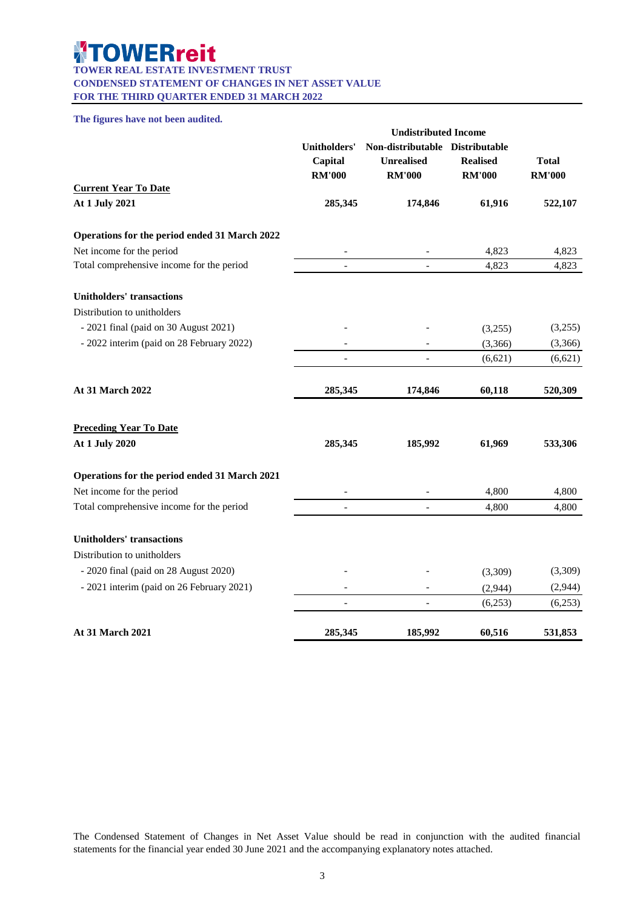#### **TOWERreit**  $\frac{1}{2}$

**TOWER REAL ESTATE INVESTMENT TRUST CONDENSED STATEMENT OF CHANGES IN NET ASSET VALUE FOR THE THIRD QUARTER ENDED 31 MARCH 2022**

#### **The figures have not been audited.**

|                                               |                                                 | <b>Undistributed Income</b>                                           |                                  |                               |
|-----------------------------------------------|-------------------------------------------------|-----------------------------------------------------------------------|----------------------------------|-------------------------------|
|                                               | <b>Unitholders'</b><br>Capital<br><b>RM'000</b> | Non-distributable Distributable<br><b>Unrealised</b><br><b>RM'000</b> | <b>Realised</b><br><b>RM'000</b> | <b>Total</b><br><b>RM'000</b> |
| <b>Current Year To Date</b>                   |                                                 |                                                                       |                                  |                               |
| At 1 July 2021                                | 285,345                                         | 174,846                                                               | 61,916                           | 522,107                       |
| Operations for the period ended 31 March 2022 |                                                 |                                                                       |                                  |                               |
| Net income for the period                     |                                                 |                                                                       | 4,823                            | 4,823                         |
| Total comprehensive income for the period     | $\overline{a}$                                  | $\overline{a}$                                                        | 4,823                            | 4,823                         |
| <b>Unitholders' transactions</b>              |                                                 |                                                                       |                                  |                               |
| Distribution to unitholders                   |                                                 |                                                                       |                                  |                               |
| - 2021 final (paid on 30 August 2021)         |                                                 |                                                                       | (3,255)                          | (3,255)                       |
| - 2022 interim (paid on 28 February 2022)     |                                                 |                                                                       | (3,366)                          | (3,366)                       |
|                                               |                                                 |                                                                       | (6,621)                          | (6,621)                       |
| At 31 March 2022                              | 285,345                                         | 174,846                                                               | 60,118                           | 520,309                       |
| <b>Preceding Year To Date</b>                 |                                                 |                                                                       |                                  |                               |
| At 1 July 2020                                | 285,345                                         | 185,992                                                               | 61,969                           | 533,306                       |
| Operations for the period ended 31 March 2021 |                                                 |                                                                       |                                  |                               |
| Net income for the period                     |                                                 |                                                                       | 4,800                            | 4,800                         |
| Total comprehensive income for the period     |                                                 |                                                                       | 4,800                            | 4,800                         |
| <b>Unitholders' transactions</b>              |                                                 |                                                                       |                                  |                               |
| Distribution to unitholders                   |                                                 |                                                                       |                                  |                               |
| - 2020 final (paid on 28 August 2020)         |                                                 |                                                                       | (3,309)                          | (3,309)                       |
| - 2021 interim (paid on 26 February 2021)     | $\overline{a}$                                  |                                                                       | (2,944)                          | (2,944)                       |
|                                               |                                                 |                                                                       | (6,253)                          | (6,253)                       |
| At 31 March 2021                              | 285,345                                         | 185,992                                                               | 60,516                           | 531,853                       |

The Condensed Statement of Changes in Net Asset Value should be read in conjunction with the audited financial statements for the financial year ended 30 June 2021 and the accompanying explanatory notes attached.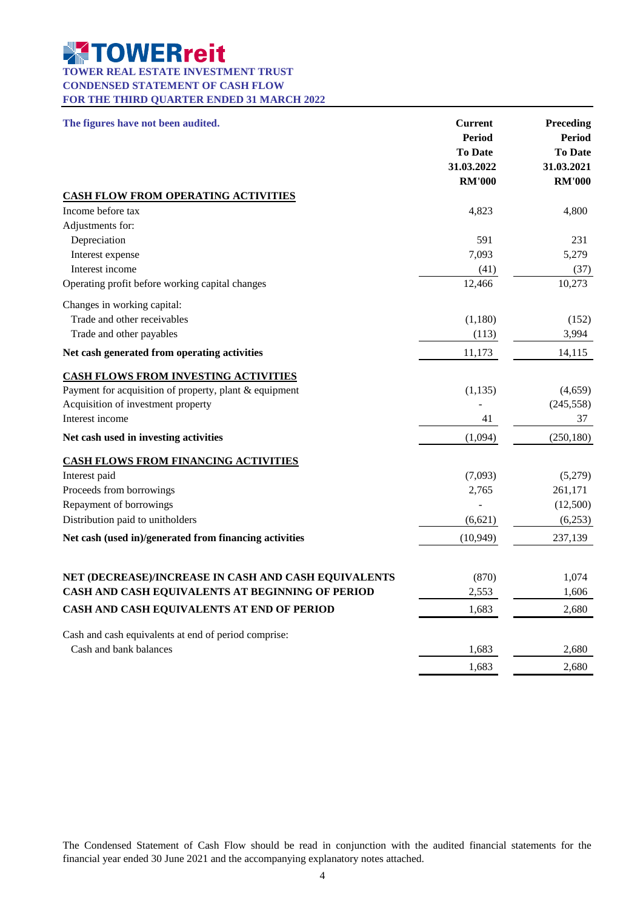# **TOWER REAL ESTATE INVESTMENT TRUST**

**CONDENSED STATEMENT OF CASH FLOW**

**FOR THE THIRD QUARTER ENDED 31 MARCH 2022**

| The figures have not been audited.                     | <b>Current</b><br><b>Period</b><br><b>To Date</b><br>31.03.2022<br><b>RM'000</b> | Preceding<br><b>Period</b><br><b>To Date</b><br>31.03.2021<br><b>RM'000</b> |
|--------------------------------------------------------|----------------------------------------------------------------------------------|-----------------------------------------------------------------------------|
| <b>CASH FLOW FROM OPERATING ACTIVITIES</b>             |                                                                                  |                                                                             |
| Income before tax                                      | 4,823                                                                            | 4,800                                                                       |
| Adjustments for:                                       |                                                                                  |                                                                             |
| Depreciation                                           | 591                                                                              | 231                                                                         |
| Interest expense                                       | 7,093                                                                            | 5,279                                                                       |
| Interest income                                        | (41)                                                                             | (37)                                                                        |
| Operating profit before working capital changes        | 12,466                                                                           | 10,273                                                                      |
| Changes in working capital:                            |                                                                                  |                                                                             |
| Trade and other receivables                            | (1,180)                                                                          | (152)                                                                       |
| Trade and other payables                               | (113)                                                                            | 3,994                                                                       |
| Net cash generated from operating activities           | 11,173                                                                           | 14,115                                                                      |
| <b>CASH FLOWS FROM INVESTING ACTIVITIES</b>            |                                                                                  |                                                                             |
| Payment for acquisition of property, plant & equipment | (1,135)                                                                          | (4,659)                                                                     |
| Acquisition of investment property                     |                                                                                  | (245, 558)                                                                  |
| Interest income                                        | 41                                                                               | 37                                                                          |
| Net cash used in investing activities                  | (1,094)                                                                          | (250, 180)                                                                  |
| <b>CASH FLOWS FROM FINANCING ACTIVITIES</b>            |                                                                                  |                                                                             |
| Interest paid                                          | (7,093)                                                                          | (5,279)                                                                     |
| Proceeds from borrowings                               | 2,765                                                                            | 261,171                                                                     |
| Repayment of borrowings                                |                                                                                  | (12,500)                                                                    |
| Distribution paid to unitholders                       | (6,621)                                                                          | (6,253)                                                                     |
| Net cash (used in)/generated from financing activities | (10, 949)                                                                        | 237,139                                                                     |
|                                                        |                                                                                  |                                                                             |
| NET (DECREASE)/INCREASE IN CASH AND CASH EQUIVALENTS   | (870)                                                                            | 1,074                                                                       |
| CASH AND CASH EQUIVALENTS AT BEGINNING OF PERIOD       | 2,553                                                                            | 1,606                                                                       |
| CASH AND CASH EQUIVALENTS AT END OF PERIOD             | 1,683                                                                            | 2,680                                                                       |
| Cash and cash equivalents at end of period comprise:   |                                                                                  |                                                                             |
| Cash and bank balances                                 | 1,683                                                                            | 2,680                                                                       |
|                                                        | 1,683                                                                            | 2,680                                                                       |

The Condensed Statement of Cash Flow should be read in conjunction with the audited financial statements for the financial year ended 30 June 2021 and the accompanying explanatory notes attached.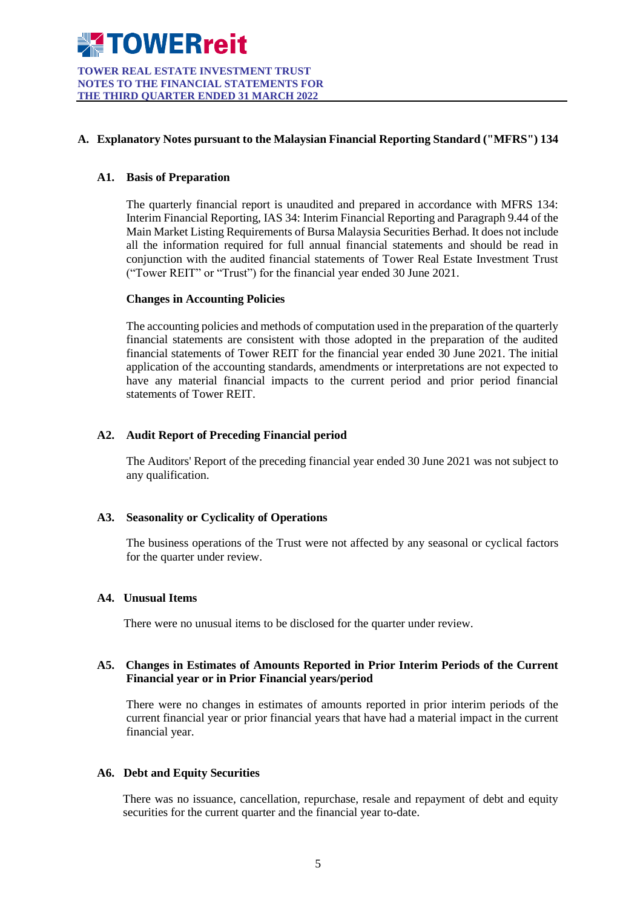

**TOWER REAL ESTATE INVESTMENT TRUST NOTES TO THE FINANCIAL STATEMENTS FOR THE THIRD QUARTER ENDED 31 MARCH 2022**

### **A. Explanatory Notes pursuant to the Malaysian Financial Reporting Standard ("MFRS") 134**

#### **A1. Basis of Preparation**

The quarterly financial report is unaudited and prepared in accordance with MFRS 134: Interim Financial Reporting, IAS 34: Interim Financial Reporting and Paragraph 9.44 of the Main Market Listing Requirements of Bursa Malaysia Securities Berhad. It does not include all the information required for full annual financial statements and should be read in conjunction with the audited financial statements of Tower Real Estate Investment Trust ("Tower REIT" or "Trust") for the financial year ended 30 June 2021.

#### **Changes in Accounting Policies**

The accounting policies and methods of computation used in the preparation of the quarterly financial statements are consistent with those adopted in the preparation of the audited financial statements of Tower REIT for the financial year ended 30 June 2021. The initial application of the accounting standards, amendments or interpretations are not expected to have any material financial impacts to the current period and prior period financial statements of Tower REIT.

#### **A2. Audit Report of Preceding Financial period**

The Auditors' Report of the preceding financial year ended 30 June 2021 was not subject to any qualification.

#### **A3. Seasonality or Cyclicality of Operations**

The business operations of the Trust were not affected by any seasonal or cyclical factors for the quarter under review.

#### **A4. Unusual Items**

There were no unusual items to be disclosed for the quarter under review.

#### **A5. Changes in Estimates of Amounts Reported in Prior Interim Periods of the Current Financial year or in Prior Financial years/period**

There were no changes in estimates of amounts reported in prior interim periods of the current financial year or prior financial years that have had a material impact in the current financial year.

### **A6. Debt and Equity Securities**

There was no issuance, cancellation, repurchase, resale and repayment of debt and equity securities for the current quarter and the financial year to-date.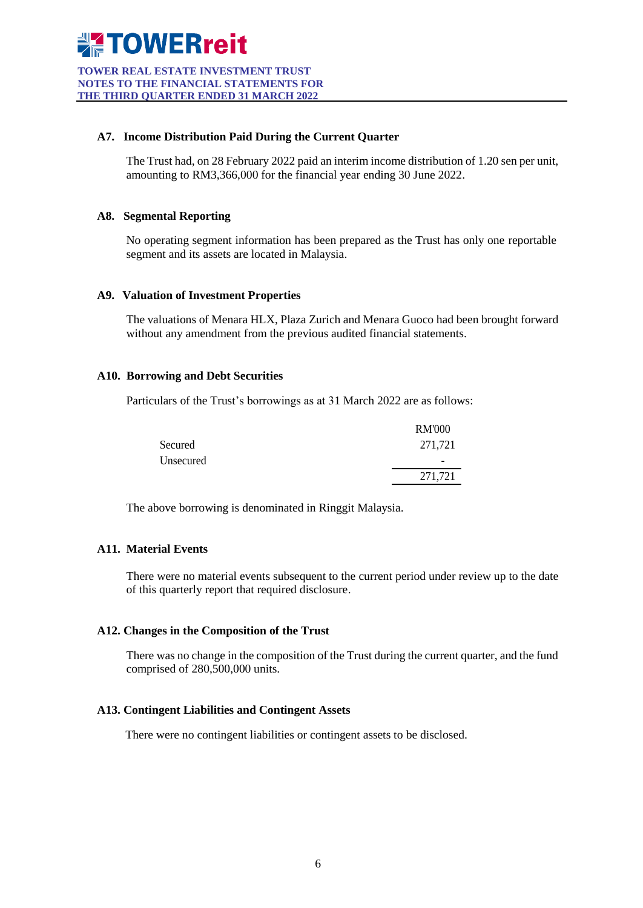

**TOWER REAL ESTATE INVESTMENT TRUST NOTES TO THE FINANCIAL STATEMENTS FOR THE THIRD QUARTER ENDED 31 MARCH 2022**

#### **A7. Income Distribution Paid During the Current Quarter**

The Trust had, on 28 February 2022 paid an interim income distribution of 1.20 sen per unit, amounting to RM3,366,000 for the financial year ending 30 June 2022.

#### **A8. Segmental Reporting**

No operating segment information has been prepared as the Trust has only one reportable segment and its assets are located in Malaysia.

#### **A9. Valuation of Investment Properties**

The valuations of Menara HLX, Plaza Zurich and Menara Guoco had been brought forward without any amendment from the previous audited financial statements.

#### **A10. Borrowing and Debt Securities**

Particulars of the Trust's borrowings as at 31 March 2022 are as follows:

|           | <b>RM'000</b> |
|-----------|---------------|
| Secured   | 271,721       |
| Unsecured | -             |
|           | 271,721       |

The above borrowing is denominated in Ringgit Malaysia.

### **A11. Material Events**

There were no material events subsequent to the current period under review up to the date of this quarterly report that required disclosure.

### **A12. Changes in the Composition of the Trust**

There was no change in the composition of the Trust during the current quarter, and the fund comprised of 280,500,000 units.

### **A13. Contingent Liabilities and Contingent Assets**

There were no contingent liabilities or contingent assets to be disclosed.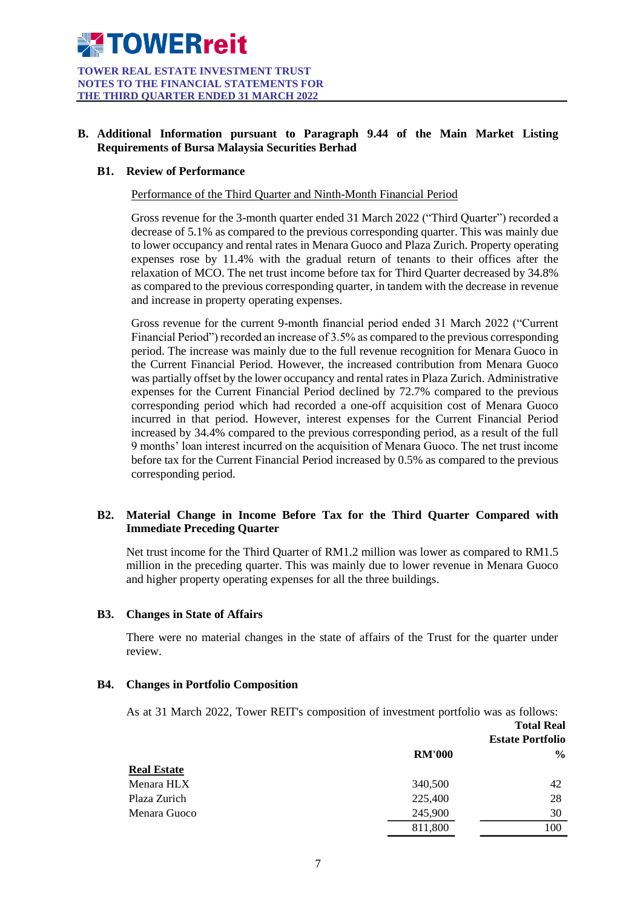# **B. Additional Information pursuant to Paragraph 9.44 of the Main Market Listing Requirements of Bursa Malaysia Securities Berhad**

#### **B1. Review of Performance**

Performance of the Third Quarter and Ninth-Month Financial Period

Gross revenue for the 3-month quarter ended 31 March 2022 ("Third Quarter") recorded a decrease of 5.1% as compared to the previous corresponding quarter. This was mainly due to lower occupancy and rental rates in Menara Guoco and Plaza Zurich. Property operating expenses rose by 11.4% with the gradual return of tenants to their offices after the relaxation of MCO. The net trust income before tax for Third Quarter decreased by 34.8% as compared to the previous corresponding quarter, in tandem with the decrease in revenue and increase in property operating expenses.

Gross revenue for the current 9-month financial period ended 31 March 2022 ("Current Financial Period") recorded an increase of 3.5% as compared to the previous corresponding period. The increase was mainly due to the full revenue recognition for Menara Guoco in the Current Financial Period. However, the increased contribution from Menara Guoco was partially offset by the lower occupancy and rental rates in Plaza Zurich. Administrative expenses for the Current Financial Period declined by 72.7% compared to the previous corresponding period which had recorded a one-off acquisition cost of Menara Guoco incurred in that period. However, interest expenses for the Current Financial Period increased by 34.4% compared to the previous corresponding period, as a result of the full 9 months' loan interest incurred on the acquisition of Menara Guoco. The net trust income before tax for the Current Financial Period increased by 0.5% as compared to the previous corresponding period.

# **B2. Material Change in Income Before Tax for the Third Quarter Compared with Immediate Preceding Quarter**

Net trust income for the Third Quarter of RM1.2 million was lower as compared to RM1.5 million in the preceding quarter. This was mainly due to lower revenue in Menara Guoco and higher property operating expenses for all the three buildings.

#### **B3. Changes in State of Affairs**

There were no material changes in the state of affairs of the Trust for the quarter under review.

#### **B4. Changes in Portfolio Composition**

As at 31 March 2022, Tower REIT's composition of investment portfolio was as follows:

|                    |               | <b>Total Real</b><br><b>Estate Portfolio</b> |
|--------------------|---------------|----------------------------------------------|
|                    | <b>RM'000</b> | $\frac{0}{0}$                                |
| <b>Real Estate</b> |               |                                              |
| Menara HLX         | 340,500       | 42                                           |
| Plaza Zurich       | 225,400       | 28                                           |
| Menara Guoco       | 245,900       | 30                                           |
|                    | 811,800       | 100                                          |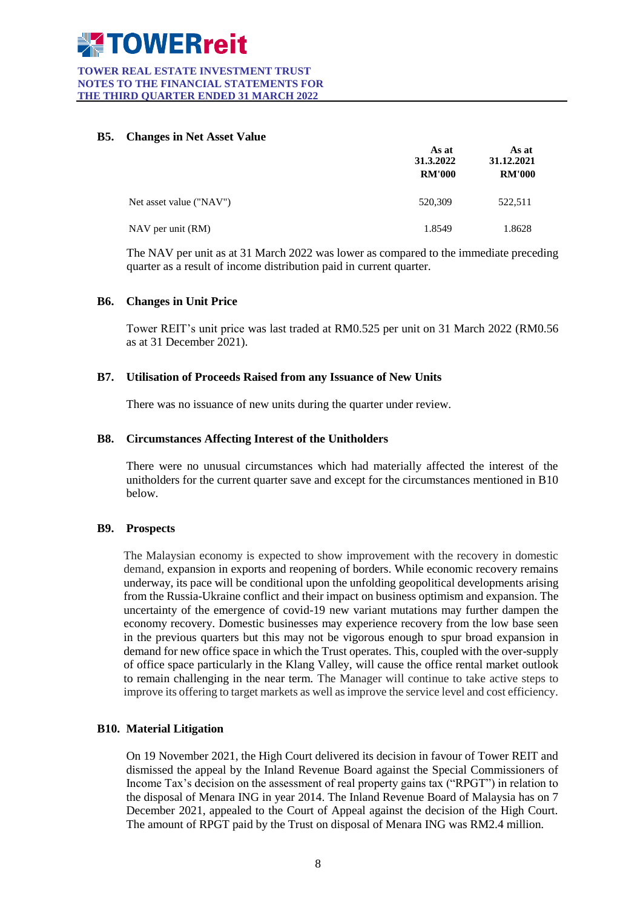#### **TOWER REAL ESTATE INVESTMENT TRUST NOTES TO THE FINANCIAL STATEMENTS FOR THE THIRD QUARTER ENDED 31 MARCH 2022**

### **B5. Changes in Net Asset Value**

|                         | As at<br>31.3.2022<br><b>RM'000</b> | As at<br>31.12.2021<br><b>RM'000</b> |
|-------------------------|-------------------------------------|--------------------------------------|
| Net asset value ("NAV") | 520,309                             | 522,511                              |
| NAV per unit (RM)       | 1.8549                              | 1.8628                               |

The NAV per unit as at 31 March 2022 was lower as compared to the immediate preceding quarter as a result of income distribution paid in current quarter.

# **B6. Changes in Unit Price**

Tower REIT's unit price was last traded at RM0.525 per unit on 31 March 2022 (RM0.56 as at 31 December 2021).

# **B7. Utilisation of Proceeds Raised from any Issuance of New Units**

There was no issuance of new units during the quarter under review.

#### **B8. Circumstances Affecting Interest of the Unitholders**

There were no unusual circumstances which had materially affected the interest of the unitholders for the current quarter save and except for the circumstances mentioned in B10 below.

#### **B9. Prospects**

The Malaysian economy is expected to show improvement with the recovery in domestic demand, expansion in exports and reopening of borders. While economic recovery remains underway, its pace will be conditional upon the unfolding geopolitical developments arising from the Russia-Ukraine conflict and their impact on business optimism and expansion. The uncertainty of the emergence of covid-19 new variant mutations may further dampen the economy recovery. Domestic businesses may experience recovery from the low base seen in the previous quarters but this may not be vigorous enough to spur broad expansion in demand for new office space in which the Trust operates*.* This, coupled with the over-supply of office space particularly in the Klang Valley, will cause the office rental market outlook to remain challenging in the near term. The Manager will continue to take active steps to improve its offering to target markets as well as improve the service level and cost efficiency.

#### **B10. Material Litigation**

On 19 November 2021, the High Court delivered its decision in favour of Tower REIT and dismissed the appeal by the Inland Revenue Board against the Special Commissioners of Income Tax's decision on the assessment of real property gains tax ("RPGT") in relation to the disposal of Menara ING in year 2014. The Inland Revenue Board of Malaysia has on 7 December 2021, appealed to the Court of Appeal against the decision of the High Court. The amount of RPGT paid by the Trust on disposal of Menara ING was RM2.4 million.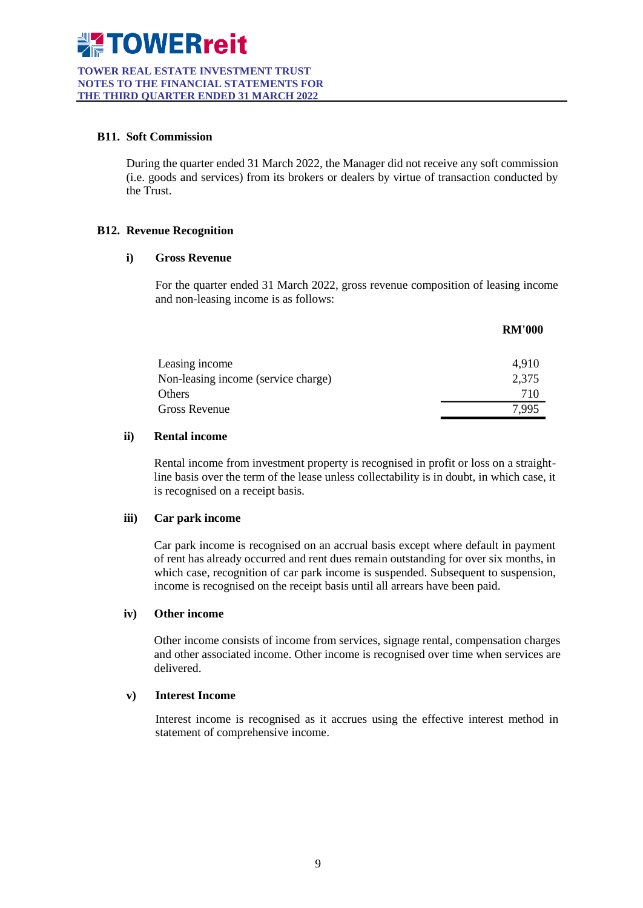**TOWER REAL ESTATE INVESTMENT TRUST NOTES TO THE FINANCIAL STATEMENTS FOR THE THIRD QUARTER ENDED 31 MARCH 2022**

#### **B11. Soft Commission**

During the quarter ended 31 March 2022, the Manager did not receive any soft commission (i.e. goods and services) from its brokers or dealers by virtue of transaction conducted by the Trust.

# **B12. Revenue Recognition**

### **i) Gross Revenue**

For the quarter ended 31 March 2022, gross revenue composition of leasing income and non-leasing income is as follows:

|                                     | <b>RM'000</b> |
|-------------------------------------|---------------|
| Leasing income                      | 4,910         |
| Non-leasing income (service charge) | 2,375         |
| Others                              | 710           |
| Gross Revenue                       | 7.995         |

#### **ii) Rental income**

Rental income from investment property is recognised in profit or loss on a straightline basis over the term of the lease unless collectability is in doubt, in which case, it is recognised on a receipt basis.

#### **iii) Car park income**

Car park income is recognised on an accrual basis except where default in payment of rent has already occurred and rent dues remain outstanding for over six months, in which case, recognition of car park income is suspended. Subsequent to suspension, income is recognised on the receipt basis until all arrears have been paid.

#### **iv) Other income**

Other income consists of income from services, signage rental, compensation charges and other associated income. Other income is recognised over time when services are delivered.

#### **v) Interest Income**

Interest income is recognised as it accrues using the effective interest method in statement of comprehensive income.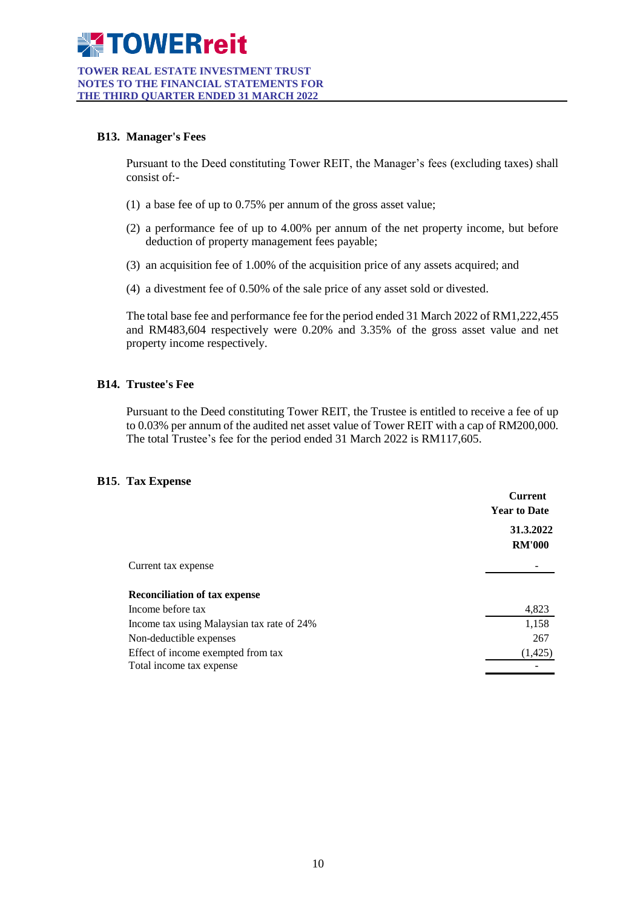#### **TOWER REAL ESTATE INVESTMENT TRUST NOTES TO THE FINANCIAL STATEMENTS FOR THE THIRD QUARTER ENDED 31 MARCH 2022**

# **B13. Manager's Fees**

Pursuant to the Deed constituting Tower REIT, the Manager's fees (excluding taxes) shall consist of:-

- (1) a base fee of up to 0.75% per annum of the gross asset value;
- (2) a performance fee of up to 4.00% per annum of the net property income, but before deduction of property management fees payable;
- (3) an acquisition fee of 1.00% of the acquisition price of any assets acquired; and
- (4) a divestment fee of 0.50% of the sale price of any asset sold or divested.

The total base fee and performance fee for the period ended 31 March 2022 of RM1,222,455 and RM483,604 respectively were 0.20% and 3.35% of the gross asset value and net property income respectively.

# **B14. Trustee's Fee**

Pursuant to the Deed constituting Tower REIT, the Trustee is entitled to receive a fee of up to 0.03% per annum of the audited net asset value of Tower REIT with a cap of RM200,000. The total Trustee's fee for the period ended 31 March 2022 is RM117,605.

#### **B15**. **Tax Expense**

| <b>Current</b><br><b>Year to Date</b> |  |
|---------------------------------------|--|
| 31.3.2022<br><b>RM'000</b>            |  |
|                                       |  |
|                                       |  |
| 4,823                                 |  |
| 1,158                                 |  |
| 267                                   |  |
| (1,425)                               |  |
|                                       |  |
|                                       |  |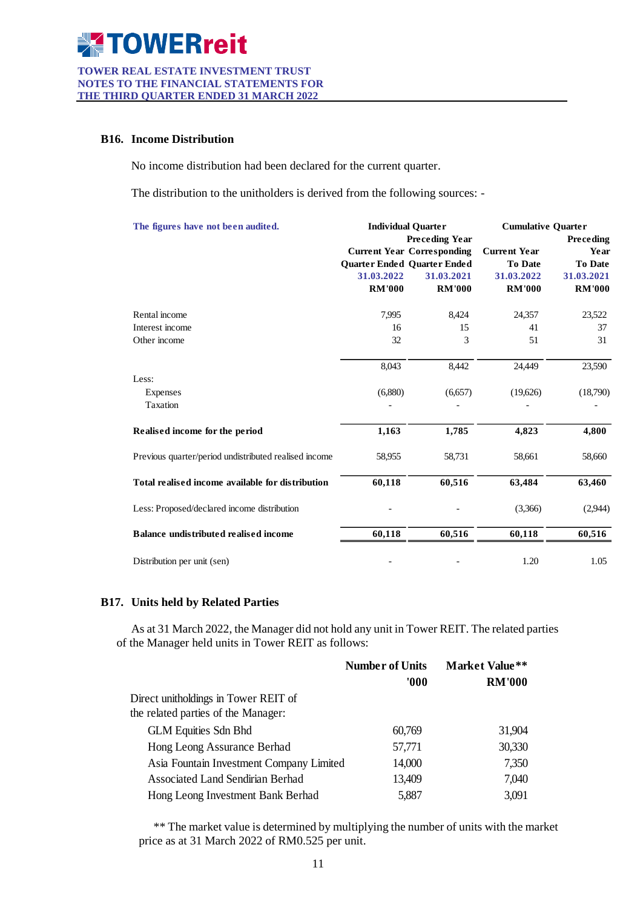#### **TOWER REAL ESTATE INVESTMENT TRUST NOTES TO THE FINANCIAL STATEMENTS FOR THE THIRD QUARTER ENDED 31 MARCH 2022**

#### **B16. Income Distribution**

No income distribution had been declared for the current quarter.

The distribution to the unitholders is derived from the following sources: -

| The figures have not been audited.<br><b>Individual Ouarter</b> |                             | <b>Cumulative Quarter</b>         |                     |                |
|-----------------------------------------------------------------|-----------------------------|-----------------------------------|---------------------|----------------|
|                                                                 |                             | <b>Preceding Year</b>             |                     | Preceding      |
|                                                                 |                             | <b>Current Year Corresponding</b> | <b>Current Year</b> | Year           |
|                                                                 | Quarter Ended Quarter Ended |                                   | <b>To Date</b>      | <b>To Date</b> |
|                                                                 | 31.03.2022                  | 31.03.2021                        | 31.03.2022          | 31.03.2021     |
|                                                                 | <b>RM'000</b>               | <b>RM'000</b>                     | <b>RM'000</b>       | <b>RM'000</b>  |
| Rental income                                                   | 7,995                       | 8,424                             | 24,357              | 23,522         |
| Interest income                                                 | 16                          | 15                                | 41                  | 37             |
| Other income                                                    | 32                          | 3                                 | 51                  | 31             |
|                                                                 | 8,043                       | 8,442                             | 24,449              | 23,590         |
| Less:                                                           |                             |                                   |                     |                |
| Expenses                                                        | (6,880)                     | (6,657)                           | (19,626)            | (18,790)       |
| Taxation                                                        |                             |                                   |                     |                |
| Realised income for the period                                  | 1,163                       | 1,785                             | 4,823               | 4,800          |
| Previous quarter/period undistributed realised income           | 58,955                      | 58,731                            | 58,661              | 58,660         |
| Total realised income available for distribution                | 60,118                      | 60,516                            | 63,484              | 63,460         |
| Less: Proposed/declared income distribution                     |                             |                                   | (3,366)             | (2,944)        |
| Balance undistributed realised income                           | 60,118                      | 60,516                            | 60,118              | 60,516         |
| Distribution per unit (sen)                                     |                             |                                   | 1.20                | 1.05           |

### **B17. Units held by Related Parties**

As at 31 March 2022, the Manager did not hold any unit in Tower REIT. The related parties of the Manager held units in Tower REIT as follows:

|                                          | <b>Number of Units</b> | <b>Market Value**</b> |  |
|------------------------------------------|------------------------|-----------------------|--|
|                                          | 000'                   | <b>RM'000</b>         |  |
| Direct unitholdings in Tower REIT of     |                        |                       |  |
| the related parties of the Manager:      |                        |                       |  |
| <b>GLM Equities Sdn Bhd</b>              | 60,769                 | 31,904                |  |
| Hong Leong Assurance Berhad              | 57,771                 | 30,330                |  |
| Asia Fountain Investment Company Limited | 14,000                 | 7,350                 |  |
| Associated Land Sendirian Berhad         | 13,409                 | 7,040                 |  |
| Hong Leong Investment Bank Berhad        | 5,887                  | 3,091                 |  |

\*\* The market value is determined by multiplying the number of units with the market price as at 31 March 2022 of RM0.525 per unit.